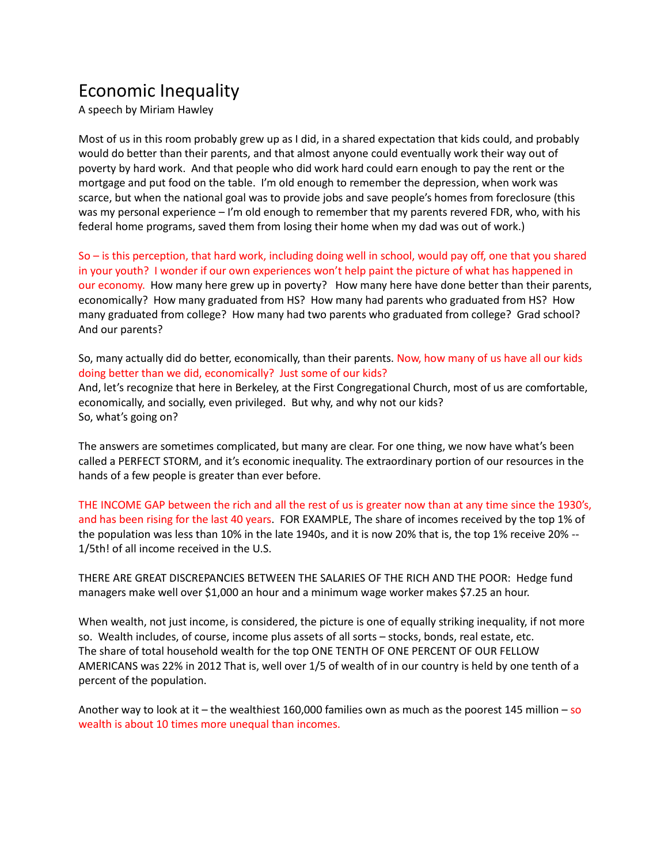## Economic Inequality

A speech by Miriam Hawley

Most of us in this room probably grew up as I did, in a shared expectation that kids could, and probably would do better than their parents, and that almost anyone could eventually work their way out of poverty by hard work. And that people who did work hard could earn enough to pay the rent or the mortgage and put food on the table. I'm old enough to remember the depression, when work was scarce, but when the national goal was to provide jobs and save people's homes from foreclosure (this was my personal experience – I'm old enough to remember that my parents revered FDR, who, with his federal home programs, saved them from losing their home when my dad was out of work.)

So – is this perception, that hard work, including doing well in school, would pay off, one that you shared in your youth? I wonder if our own experiences won't help paint the picture of what has happened in our economy. How many here grew up in poverty? How many here have done better than their parents, economically? How many graduated from HS? How many had parents who graduated from HS? How many graduated from college? How many had two parents who graduated from college? Grad school? And our parents?

So, many actually did do better, economically, than their parents. Now, how many of us have all our kids doing better than we did, economically? Just some of our kids? And, let's recognize that here in Berkeley, at the First Congregational Church, most of us are comfortable, economically, and socially, even privileged. But why, and why not our kids? So, what's going on?

The answers are sometimes complicated, but many are clear. For one thing, we now have what's been called a PERFECT STORM, and it's economic inequality. The extraordinary portion of our resources in the hands of a few people is greater than ever before.

THE INCOME GAP between the rich and all the rest of us is greater now than at any time since the 1930's, and has been rising for the last 40 years. FOR EXAMPLE, The share of incomes received by the top 1% of the population was less than 10% in the late 1940s, and it is now 20% that is, the top 1% receive 20% -- 1/5th! of all income received in the U.S.

THERE ARE GREAT DISCREPANCIES BETWEEN THE SALARIES OF THE RICH AND THE POOR: Hedge fund managers make well over \$1,000 an hour and a minimum wage worker makes \$7.25 an hour.

When wealth, not just income, is considered, the picture is one of equally striking inequality, if not more so. Wealth includes, of course, income plus assets of all sorts – stocks, bonds, real estate, etc. The share of total household wealth for the top ONE TENTH OF ONE PERCENT OF OUR FELLOW AMERICANS was 22% in 2012 That is, well over 1/5 of wealth of in our country is held by one tenth of a percent of the population.

Another way to look at it – the wealthiest 160,000 families own as much as the poorest 145 million – so wealth is about 10 times more unequal than incomes.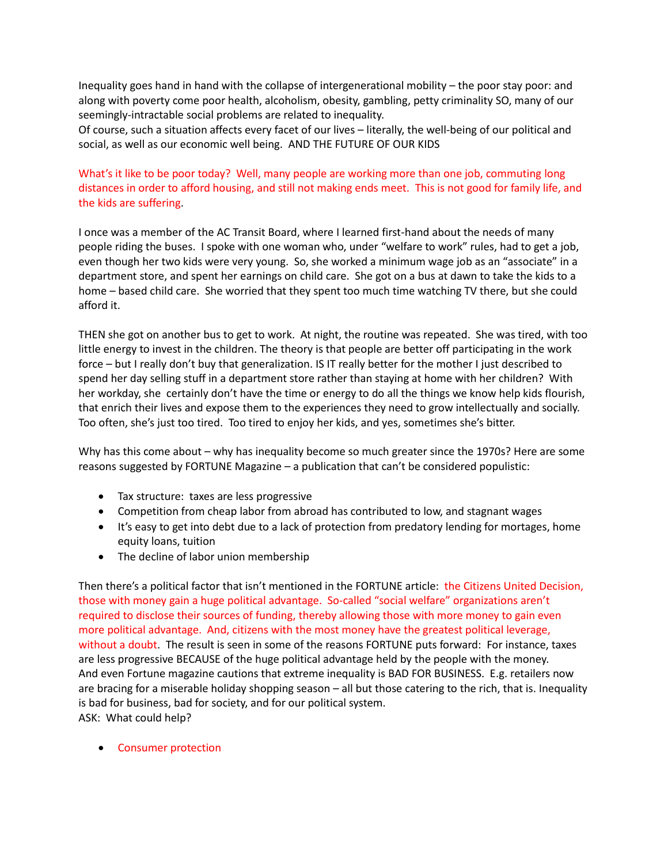Inequality goes hand in hand with the collapse of intergenerational mobility – the poor stay poor: and along with poverty come poor health, alcoholism, obesity, gambling, petty criminality SO, many of our seemingly-intractable social problems are related to inequality.

Of course, such a situation affects every facet of our lives – literally, the well-being of our political and social, as well as our economic well being. AND THE FUTURE OF OUR KIDS

## What's it like to be poor today? Well, many people are working more than one job, commuting long distances in order to afford housing, and still not making ends meet. This is not good for family life, and the kids are suffering.

I once was a member of the AC Transit Board, where I learned first-hand about the needs of many people riding the buses. I spoke with one woman who, under "welfare to work" rules, had to get a job, even though her two kids were very young. So, she worked a minimum wage job as an "associate" in a department store, and spent her earnings on child care. She got on a bus at dawn to take the kids to a home – based child care. She worried that they spent too much time watching TV there, but she could afford it.

THEN she got on another bus to get to work. At night, the routine was repeated. She was tired, with too little energy to invest in the children. The theory is that people are better off participating in the work force – but I really don't buy that generalization. IS IT really better for the mother I just described to spend her day selling stuff in a department store rather than staying at home with her children? With her workday, she certainly don't have the time or energy to do all the things we know help kids flourish, that enrich their lives and expose them to the experiences they need to grow intellectually and socially. Too often, she's just too tired. Too tired to enjoy her kids, and yes, sometimes she's bitter.

Why has this come about – why has inequality become so much greater since the 1970s? Here are some reasons suggested by FORTUNE Magazine – a publication that can't be considered populistic:

- Tax structure: taxes are less progressive
- Competition from cheap labor from abroad has contributed to low, and stagnant wages
- It's easy to get into debt due to a lack of protection from predatory lending for mortages, home equity loans, tuition
- The decline of labor union membership

Then there's a political factor that isn't mentioned in the FORTUNE article: the Citizens United Decision, those with money gain a huge political advantage. So-called "social welfare" organizations aren't required to disclose their sources of funding, thereby allowing those with more money to gain even more political advantage. And, citizens with the most money have the greatest political leverage, without a doubt. The result is seen in some of the reasons FORTUNE puts forward: For instance, taxes are less progressive BECAUSE of the huge political advantage held by the people with the money. And even Fortune magazine cautions that extreme inequality is BAD FOR BUSINESS. E.g. retailers now are bracing for a miserable holiday shopping season – all but those catering to the rich, that is. Inequality is bad for business, bad for society, and for our political system. ASK: What could help?

• Consumer protection